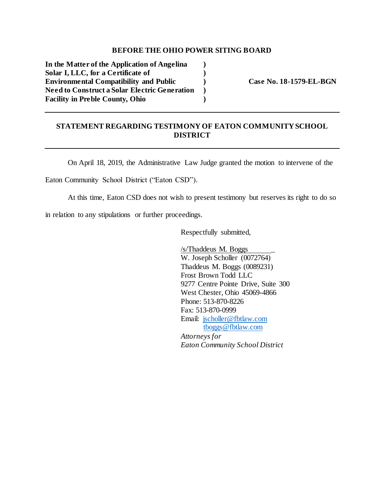## **BEFORE THE OHIO POWER SITING BOARD**

**In the Matter of the Application of Angelina ) Solar I, LLC, for a Certificate of ) Environmental Compatibility and Public ) Case No. 18-1579-EL-BGN Need to Construct a Solar Electric Generation ) Facility in Preble County, Ohio )**

## **STATEMENT REGARDING TESTIMONY OF EATON COMMUNITY SCHOOL DISTRICT**

On April 18, 2019, the Administrative Law Judge granted the motion to intervene of the

Eaton Community School District ("Eaton CSD").

At this time, Eaton CSD does not wish to present testimony but reserves its right to do so

in relation to any stipulations or further proceedings.

Respectfully submitted,

/s/Thaddeus M. Boggs \_ W. Joseph Scholler (0072764) Thaddeus M. Boggs (0089231) Frost Brown Todd LLC 9277 Centre Pointe Drive, Suite 300 West Chester, Ohio 45069-4866 Phone: 513-870-8226 Fax: 513-870-0999 Email: [jscholler@fbtlaw.com](mailto:jscholler@fbtlaw.com) [tboggs@fbtlaw.com](mailto:tboggs@fbtlaw.com) *Attorneys for Eaton Community School District*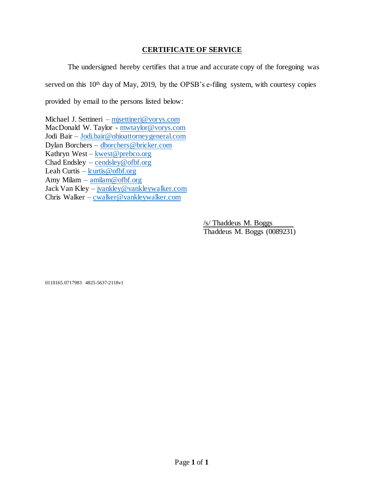## **CERTIFICATE OF SERVICE**

The undersigned hereby certifies that a true and accurate copy of the foregoing was served on this 10<sup>th</sup> day of May, 2019, by the OPSB's e-filing system, with courtesy copies provided by email to the persons listed below:

Michael J. Settineri – [mjsettineri@vorys.com](mailto:mjsettineri@vorys.com) MacDonald W. Taylor - [mwtaylor@vorys.com](mailto:mwtaylor@vorys.com) Jodi Bair – [Jodi.bair@ohioattorneygeneral.com](mailto:Jodi.bair@ohioattorneygeneral.com) Dylan Borchers – [dborchers@bricker.com](mailto:dborchers@bricker.com) Kathryn West – [kwest@prebco.org](mailto:kwest@prebco.org) Chad Endsley –  $\overline{\text{cendsley}\textcircled{e}\text{ofbf.org}}$ Leah Curtis – [lcurtis@ofbf.org](mailto:lcurtis@ofbf.org) Amy Milam – [amilam@ofbf.org](mailto:amilam@ofbf.org) Jack Van Kley – [jvankley@vankleywalker.com](mailto:jvankley@vankleywalker.com) Chris Walker – [cwalker@vankleywalker.com](mailto:cwalker@vankleywalker.com)

> /s/ Thaddeus M. Boggs Thaddeus M. Boggs (0089231)

0110165.0717983 4825-5637-2118v1